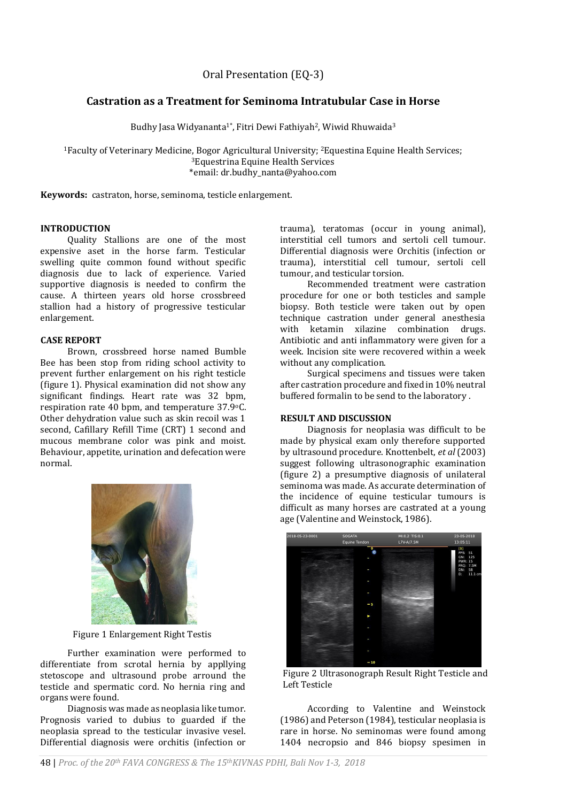Oral Presentation (EQ-3)

# **Castration as a Treatment for Seminoma Intratubular Case in Horse**

Budhy Jasa Widyananta<sup>1\*</sup>, Fitri Dewi Fathiyah<sup>2</sup>, Wiwid Rhuwaida<sup>3</sup>

<sup>1</sup>Faculty of Veterinary Medicine, Bogor Agricultural University; 2Equestina Equine Health Services; <sup>3</sup>Equestrina Equine Health Services \*email: dr.budhy\_nanta@yahoo.com

**Keywords:** castraton, horse, seminoma, testicle enlargement.

## **INTRODUCTION**

Quality Stallions are one of the most expensive aset in the horse farm. Testicular swelling quite common found without specific diagnosis due to lack of experience. Varied supportive diagnosis is needed to confirm the cause. A thirteen years old horse crossbreed stallion had a history of progressive testicular enlargement.

### **CASE REPORT**

Brown, crossbreed horse named Bumble Bee has been stop from riding school activity to prevent further enlargement on his right testicle (figure 1). Physical examination did not show any significant findings. Heart rate was 32 bpm, respiration rate 40 bpm, and temperature 37.9oC. Other dehydration value such as skin recoil was 1 second, Cafillary Refill Time (CRT) 1 second and mucous membrane color was pink and moist. Behaviour, appetite, urination and defecation were normal.



Figure 1 Enlargement Right Testis

Further examination were performed to differentiate from scrotal hernia by appllying stetoscope and ultrasound probe arround the testicle and spermatic cord. No hernia ring and organs were found.

Diagnosis was made as neoplasia like tumor. Prognosis varied to dubius to guarded if the neoplasia spread to the testicular invasive vesel. Differential diagnosis were orchitis (infection or

trauma), teratomas (occur in young animal), interstitial cell tumors and sertoli cell tumour. Differential diagnosis were Orchitis (infection or trauma), interstitial cell tumour, sertoli cell tumour, and testicular torsion.

Recommended treatment were castration procedure for one or both testicles and sample biopsy. Both testicle were taken out by open technique castration under general anesthesia with ketamin xilazine combination drugs. Antibiotic and anti inflammatory were given for a week. Incision site were recovered within a week without any complication.

Surgical specimens and tissues were taken after castration procedure and fixed in 10% neutral buffered formalin to be send to the laboratory .

#### **RESULT AND DISCUSSION**

Diagnosis for neoplasia was difficult to be made by physical exam only therefore supported by ultrasound procedure. Knottenbelt, *et al* (2003) suggest following ultrasonographic examination (figure 2) a presumptive diagnosis of unilateral seminoma was made. As accurate determination of the incidence of equine testicular tumours is difficult as many horses are castrated at a young age (Valentine and Weinstock, 1986).



Figure 2 Ultrasonograph Result Right Testicle and Left Testicle

According to Valentine and Weinstock (1986) and Peterson (1984), testicular neoplasia is rare in horse. No seminomas were found among 1404 necropsio and 846 biopsy spesimen in